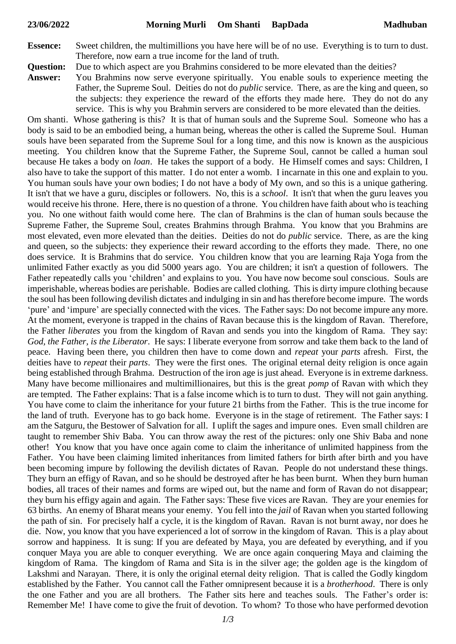- **Essence:** Sweet children, the multimillions you have here will be of no use. Everything is to turn to dust. Therefore, now earn a true income for the land of truth.
- **Question:** Due to which aspect are you Brahmins considered to be more elevated than the deities?
- **Answer:** You Brahmins now serve everyone spiritually. You enable souls to experience meeting the Father, the Supreme Soul. Deities do not do *public* service. There, as are the king and queen, so the subjects: they experience the reward of the efforts they made here. They do not do any service. This is why you Brahmin servers are considered to be more elevated than the deities.

Om shanti. Whose gathering is this? It is that of human souls and the Supreme Soul. Someone who has a body is said to be an embodied being, a human being, whereas the other is called the Supreme Soul. Human souls have been separated from the Supreme Soul for a long time, and this now is known as the auspicious meeting. You children know that the Supreme Father, the Supreme Soul, cannot be called a human soul because He takes a body on *loan*. He takes the support of a body. He Himself comes and says: Children, I also have to take the support of this matter. I do not enter a womb. I incarnate in this one and explain to you. You human souls have your own bodies; I do not have a body of My own, and so this is a unique gathering. It isn't that we have a guru, disciples or followers. No, this is a *school*. It isn't that when the guru leaves you would receive his throne. Here, there is no question of a throne. You children have faith about who is teaching you. No one without faith would come here. The clan of Brahmins is the clan of human souls because the Supreme Father, the Supreme Soul, creates Brahmins through Brahma. You know that you Brahmins are most elevated, even more elevated than the deities. Deities do not do *public* service. There, as are the king and queen, so the subjects: they experience their reward according to the efforts they made. There, no one does service. It is Brahmins that do service. You children know that you are learning Raja Yoga from the unlimited Father exactly as you did 5000 years ago. You are children; it isn't a question of followers. The Father repeatedly calls you 'children' and explains to you. You have now become soul conscious. Souls are imperishable, whereas bodies are perishable. Bodies are called clothing. This is dirty impure clothing because the soul has been following devilish dictates and indulging in sin and has therefore become impure. The words 'pure' and 'impure' are specially connected with the vices. The Father says: Do not become impure any more. At the moment, everyone is trapped in the chains of Ravan because this is the kingdom of Ravan. Therefore, the Father *liberates* you from the kingdom of Ravan and sends you into the kingdom of Rama. They say: *God, the Father, is the Liberator*. He says: I liberate everyone from sorrow and take them back to the land of peace. Having been there, you children then have to come down and *repeat* your *parts* afresh. First, the deities have to *repeat* their *parts*. They were the first ones. The original eternal deity religion is once again being established through Brahma. Destruction of the iron age is just ahead. Everyone is in extreme darkness. Many have become millionaires and multimillionaires, but this is the great *pomp* of Ravan with which they are tempted. The Father explains: That is a false income which is to turn to dust. They will not gain anything. You have come to claim the inheritance for your future 21 births from the Father. This is the true income for the land of truth. Everyone has to go back home. Everyone is in the stage of retirement. The Father says: I am the Satguru, the Bestower of Salvation for all. I uplift the sages and impure ones. Even small children are taught to remember Shiv Baba. You can throw away the rest of the pictures: only one Shiv Baba and none other! You know that you have once again come to claim the inheritance of unlimited happiness from the Father. You have been claiming limited inheritances from limited fathers for birth after birth and you have been becoming impure by following the devilish dictates of Ravan. People do not understand these things. They burn an effigy of Ravan, and so he should be destroyed after he has been burnt. When they burn human bodies, all traces of their names and forms are wiped out, but the name and form of Ravan do not disappear; they burn his effigy again and again. The Father says: These five vices are Ravan. They are your enemies for 63 births. An enemy of Bharat means your enemy. You fell into the *jail* of Ravan when you started following the path of sin. For precisely half a cycle, it is the kingdom of Ravan. Ravan is not burnt away, nor does he die. Now, you know that you have experienced a lot of sorrow in the kingdom of Ravan. This is a play about sorrow and happiness. It is sung: If you are defeated by Maya, you are defeated by everything, and if you conquer Maya you are able to conquer everything. We are once again conquering Maya and claiming the kingdom of Rama. The kingdom of Rama and Sita is in the silver age; the golden age is the kingdom of Lakshmi and Narayan. There, it is only the original eternal deity religion. That is called the Godly kingdom established by the Father. You cannot call the Father omnipresent because it is a *brotherhood*. There is only the one Father and you are all brothers. The Father sits here and teaches souls. The Father's order is: Remember Me! I have come to give the fruit of devotion. To whom? To those who have performed devotion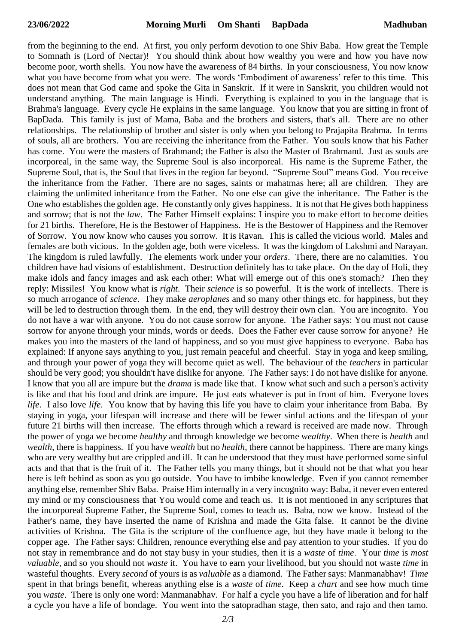from the beginning to the end. At first, you only perform devotion to one Shiv Baba. How great the Temple to Somnath is (Lord of Nectar)! You should think about how wealthy you were and how you have now become poor, worth shells. You now have the awareness of 84 births. In your consciousness, You now know what you have become from what you were. The words 'Embodiment of awareness' refer to this time. This does not mean that God came and spoke the Gita in Sanskrit. If it were in Sanskrit, you children would not understand anything. The main language is Hindi. Everything is explained to you in the language that is Brahma's language. Every cycle He explains in the same language. You know that you are sitting in front of BapDada. This family is just of Mama, Baba and the brothers and sisters, that's all. There are no other relationships. The relationship of brother and sister is only when you belong to Prajapita Brahma. In terms of souls, all are brothers. You are receiving the inheritance from the Father. You souls know that his Father has come. You were the masters of Brahmand; the Father is also the Master of Brahmand. Just as souls are incorporeal, in the same way, the Supreme Soul is also incorporeal. His name is the Supreme Father, the Supreme Soul, that is, the Soul that lives in the region far beyond. "Supreme Soul" means God. You receive the inheritance from the Father. There are no sages, saints or mahatmas here; all are children. They are claiming the unlimited inheritance from the Father. No one else can give the inheritance. The Father is the One who establishes the golden age. He constantly only gives happiness. It is not that He gives both happiness and sorrow; that is not the *law*. The Father Himself explains: I inspire you to make effort to become deities for 21 births. Therefore, He is the Bestower of Happiness. He is the Bestower of Happiness and the Remover of Sorrow. You now know who causes you sorrow. It is Ravan. This is called the vicious world. Males and females are both vicious. In the golden age, both were viceless. It was the kingdom of Lakshmi and Narayan. The kingdom is ruled lawfully. The elements work under your *orders*. There, there are no calamities. You children have had visions of establishment. Destruction definitely has to take place. On the day of Holi, they make idols and fancy images and ask each other: What will emerge out of this one's stomach? Then they reply: Missiles! You know what is *right*. Their *science* is so powerful. It is the work of intellects. There is so much arrogance of *science*. They make *aeroplanes* and so many other things etc. for happiness, but they will be led to destruction through them. In the end, they will destroy their own clan. You are incognito. You do not have a war with anyone. You do not cause sorrow for anyone. The Father says: You must not cause sorrow for anyone through your minds, words or deeds. Does the Father ever cause sorrow for anyone? He makes you into the masters of the land of happiness, and so you must give happiness to everyone. Baba has explained: If anyone says anything to you, just remain peaceful and cheerful. Stay in yoga and keep smiling, and through your power of yoga they will become quiet as well. The behaviour of the *teachers* in particular should be very good; you shouldn't have dislike for anyone. The Father says: I do not have dislike for anyone. I know that you all are impure but the *drama* is made like that. I know what such and such a person's activity is like and that his food and drink are impure. He just eats whatever is put in front of him. Everyone loves *life*. I also love *life*. You know that by having this life you have to claim your inheritance from Baba. By staying in yoga, your lifespan will increase and there will be fewer sinful actions and the lifespan of your future 21 births will then increase. The efforts through which a reward is received are made now. Through the power of yoga we become *healthy* and through knowledge we become *wealthy*. When there is *health* and *wealth*, there is happiness. If you have *wealth* but no *health*, there cannot be happiness. There are many kings who are very wealthy but are crippled and ill. It can be understood that they must have performed some sinful acts and that that is the fruit of it. The Father tells you many things, but it should not be that what you hear here is left behind as soon as you go outside. You have to imbibe knowledge. Even if you cannot remember anything else, remember Shiv Baba. Praise Him internally in a very incognito way: Baba, it never even entered my mind or my consciousness that You would come and teach us. It is not mentioned in any scriptures that the incorporeal Supreme Father, the Supreme Soul, comes to teach us. Baba, now we know. Instead of the Father's name, they have inserted the name of Krishna and made the Gita false. It cannot be the divine activities of Krishna. The Gita is the scripture of the confluence age, but they have made it belong to the copper age. The Father says: Children, renounce everything else and pay attention to your studies. If you do not stay in remembrance and do not stay busy in your studies, then it is a *waste* of *time*. Your *time* is *most valuable*, and so you should not *waste* it. You have to earn your livelihood, but you should not waste *time* in wasteful thoughts. Every *second* of yours is as *valuable* as a diamond. The Father says: Manmanabhav! *Time* spent in that brings benefit, whereas anything else is a *waste* of *time*. Keep a *chart* and see how much time you *waste*. There is only one word: Manmanabhav. For half a cycle you have a life of liberation and for half a cycle you have a life of bondage. You went into the satopradhan stage, then sato, and rajo and then tamo.